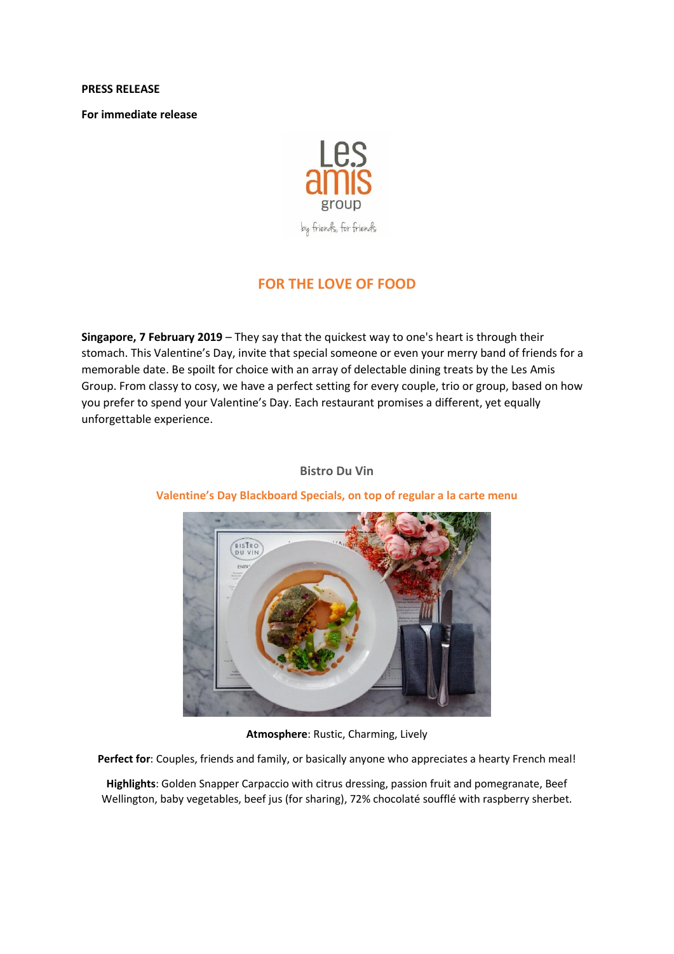#### **PRESS RELEASE**

**For immediate release**



# **FOR THE LOVE OF FOOD**

**Singapore, 7 February 2019** – They say that the quickest way to one's heart is through their stomach. This Valentine's Day, invite that special someone or even your merry band of friends for a memorable date. Be spoilt for choice with an array of delectable dining treats by the Les Amis Group. From classy to cosy, we have a perfect setting for every couple, trio or group, based on how you prefer to spend your Valentine's Day. Each restaurant promises a different, yet equally unforgettable experience.

### **Bistro Du Vin**



## **Valentine's Day Blackboard Specials, on top of regular a la carte menu**

**Atmosphere**: Rustic, Charming, Lively

**Perfect for**: Couples, friends and family, or basically anyone who appreciates a hearty French meal!

**Highlights**: Golden Snapper Carpaccio with citrus dressing, passion fruit and pomegranate, Beef Wellington, baby vegetables, beef jus (for sharing), 72% chocolaté soufflé with raspberry sherbet.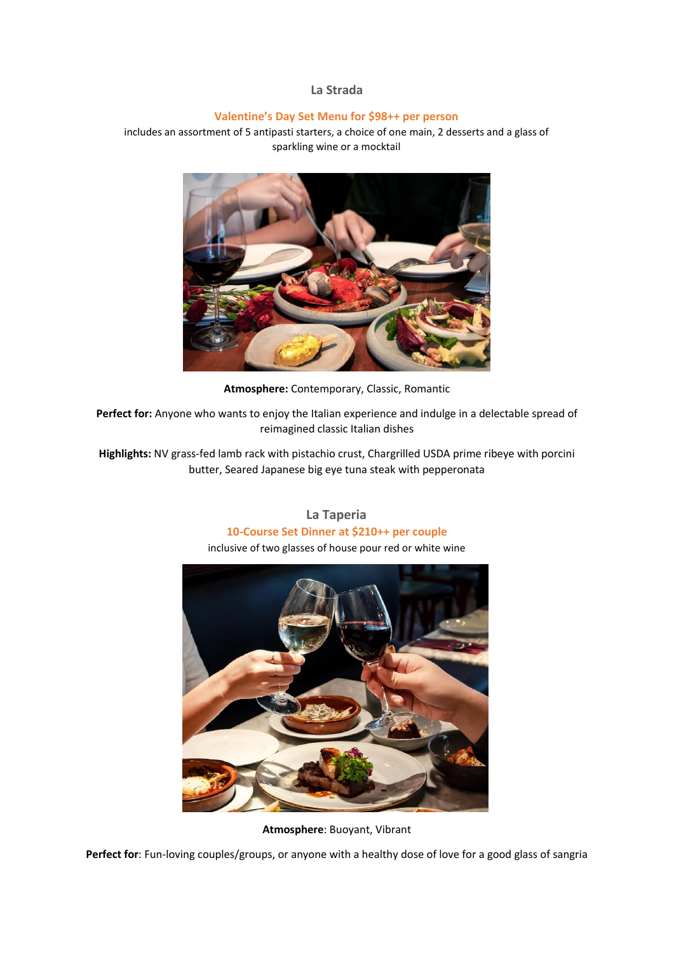### **La Strada**

### **Valentine's Day Set Menu for \$98++ per person**

includes an assortment of 5 antipasti starters, a choice of one main, 2 desserts and a glass of sparkling wine or a mocktail



**Atmosphere:** Contemporary, Classic, Romantic

**Perfect for:** Anyone who wants to enjoy the Italian experience and indulge in a delectable spread of reimagined classic Italian dishes

**Highlights:** NV grass-fed lamb rack with pistachio crust, Chargrilled USDA prime ribeye with porcini butter, Seared Japanese big eye tuna steak with pepperonata

> **La Taperia 10-Course Set Dinner at \$210++ per couple** inclusive of two glasses of house pour red or white wine



**Atmosphere**: Buoyant, Vibrant

Perfect for: Fun-loving couples/groups, or anyone with a healthy dose of love for a good glass of sangria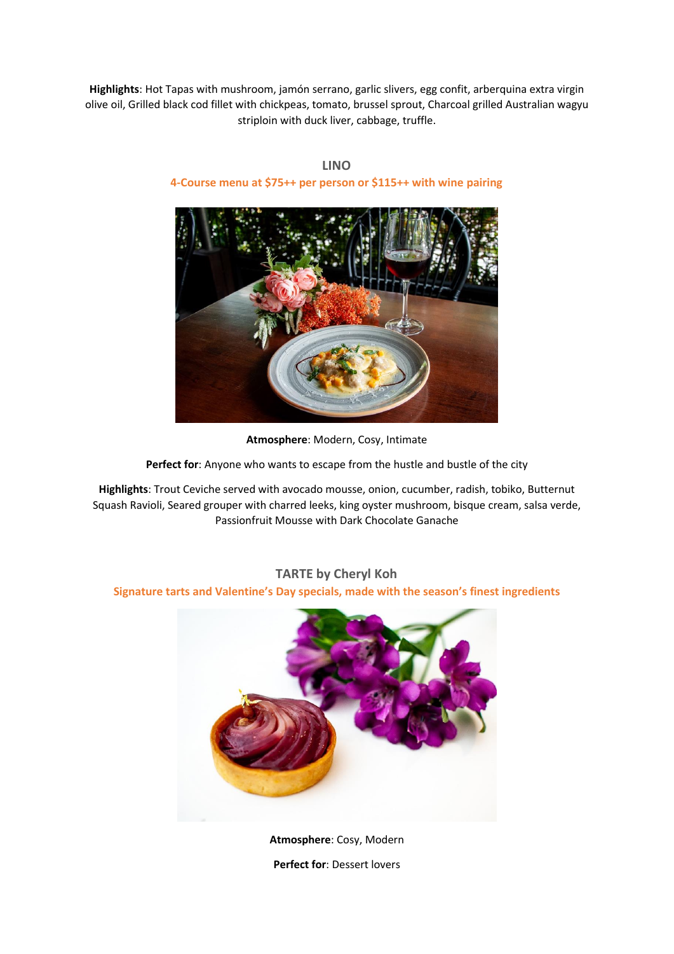**Highlights**: Hot Tapas with mushroom, jamón serrano, garlic slivers, egg confit, arberquina extra virgin olive oil, Grilled black cod fillet with chickpeas, tomato, brussel sprout, Charcoal grilled Australian wagyu striploin with duck liver, cabbage, truffle.



**LINO 4-Course menu at \$75++ per person or \$115++ with wine pairing**

**Atmosphere**: Modern, Cosy, Intimate

Perfect for: Anyone who wants to escape from the hustle and bustle of the city

**Highlights**: Trout Ceviche served with avocado mousse, onion, cucumber, radish, tobiko, Butternut Squash Ravioli, Seared grouper with charred leeks, king oyster mushroom, bisque cream, salsa verde, Passionfruit Mousse with Dark Chocolate Ganache

## **TARTE by Cheryl Koh**

### **Signature tarts and Valentine's Day specials, made with the season's finest ingredients**



**Atmosphere**: Cosy, Modern **Perfect for**: Dessert lovers